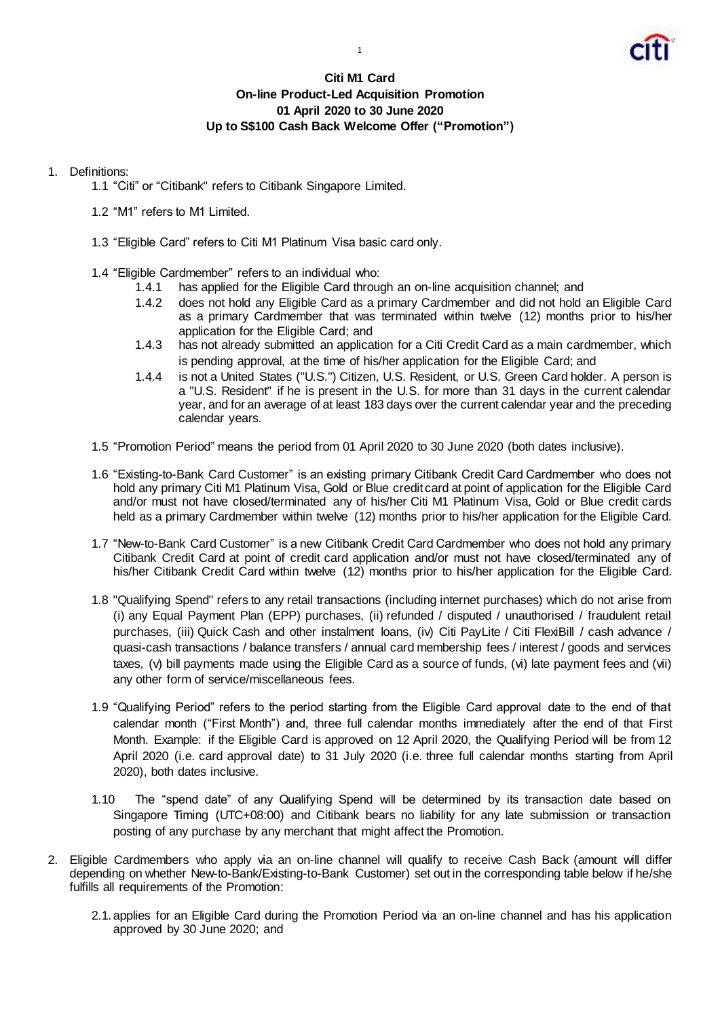

## **Citi M1 Card On-line Product-Led Acquisition Promotion 01 April 2020 to 30 June 2020 Up to S\$100 Cash Back Welcome Offer ("Promotion")**

## 1. Definitions:

- 1.1 "Citi" or "Citibank" refers to Citibank Singapore Limited.
- 1.2 "M1" refers to M1 Limited.
- 1.3 "Eligible Card" refers to Citi M1 Platinum Visa basic card only.
- 1.4 "Eligible Cardmember" refers to an individual who:
	- 1.4.1 has applied for the Eligible Card through an on-line acquisition channel; and
	- 1.4.2 does not hold any Eligible Card as a primary Cardmember and did not hold an Eligible Card as a primary Cardmember that was terminated within twelve (12) months prior to his/her application for the Eligible Card; and
	- 1.4.3 has not already submitted an application for a Citi Credit Card as a main cardmember, which is pending approval, at the time of his/her application for the Eligible Card; and
	- 1.4.4 is not a United States ("U.S.") Citizen, U.S. Resident, or U.S. Green Card holder. A person is a "U.S. Resident" if he is present in the U.S. for more than 31 days in the current calendar year, and for an average of at least 183 days over the current calendar year and the preceding calendar years.
- 1.5 "Promotion Period" means the period from 01 April 2020 to 30 June 2020 (both dates inclusive).
- 1.6 "Existing-to-Bank Card Customer" is an existing primary Citibank Credit Card Cardmember who does not hold any primary Citi M1 Platinum Visa, Gold or Blue credit card at point of application for the Eligible Card and/or must not have closed/terminated any of his/her Citi M1 Platinum Visa, Gold or Blue credit cards held as a primary Cardmember within twelve (12) months prior to his/her application for the Eligible Card.
- 1.7 "New-to-Bank Card Customer" is a new Citibank Credit Card Cardmember who does not hold any primary Citibank Credit Card at point of credit card application and/or must not have closed/terminated any of his/her Citibank Credit Card within twelve (12) months prior to his/her application for the Eligible Card.
- 1.8 "Qualifying Spend" refers to any retail transactions (including internet purchases) which do not arise from (i) any Equal Payment Plan (EPP) purchases, (ii) refunded / disputed / unauthorised / fraudulent retail purchases, (iii) Quick Cash and other instalment loans, (iv) Citi PayLite / Citi FlexiBill / cash advance / quasi-cash transactions / balance transfers / annual card membership fees / interest / goods and services taxes, (v) bill payments made using the Eligible Card as a source of funds, (vi) late payment fees and (vii) any other form of service/miscellaneous fees.
- 1.9 "Qualifying Period" refers to the period starting from the Eligible Card approval date to the end of that calendar month ("First Month") and, three full calendar months immediately after the end of that First Month. Example: if the Eligible Card is approved on 12 April 2020, the Qualifying Period will be from 12 April 2020 (i.e. card approval date) to 31 July 2020 (i.e. three full calendar months starting from April 2020), both dates inclusive.
- 1.10 The "spend date" of any Qualifying Spend will be determined by its transaction date based on Singapore Timing (UTC+08:00) and Citibank bears no liability for any late submission or transaction posting of any purchase by any merchant that might affect the Promotion.
- 2. Eligible Cardmembers who apply via an on-line channel will qualify to receive Cash Back (amount will differ depending on whether New-to-Bank/Existing-to-Bank Customer) set out in the corresponding table below if he/she fulfills all requirements of the Promotion:
	- 2.1.applies for an Eligible Card during the Promotion Period via an on-line channel and has his application approved by 30 June 2020; and